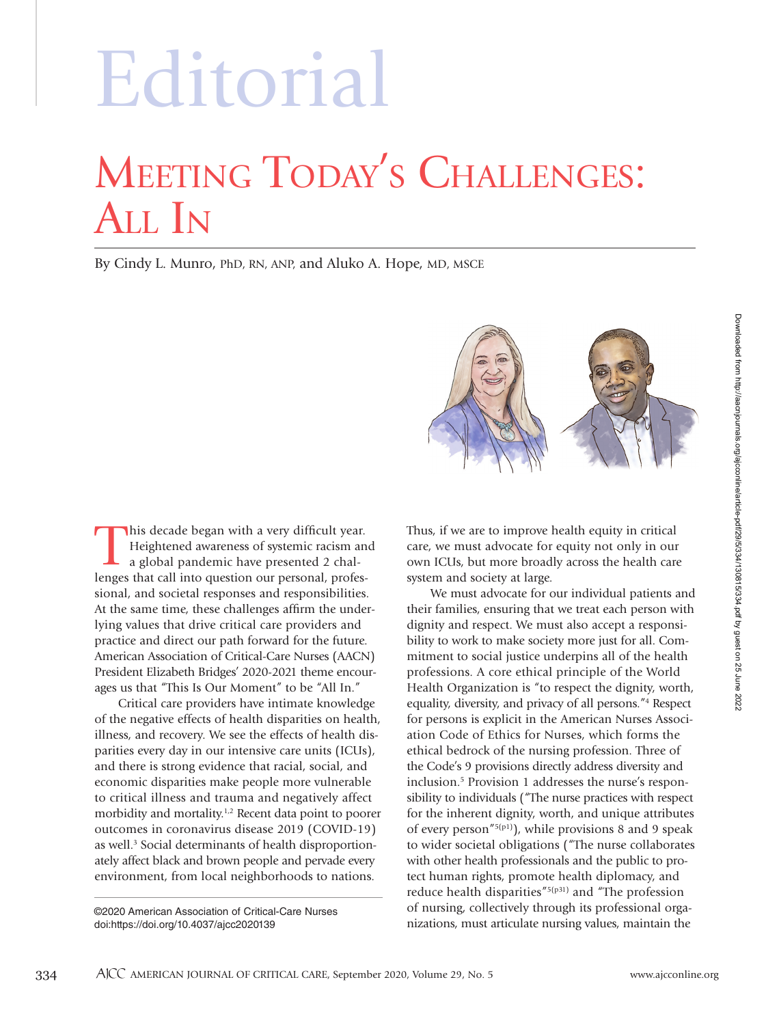# MEETING TODAY'S CHALLENGES: ALL IN Editorial

By Cindy L. Munro, PhD, RN, ANP, and Aluko A. Hope, MD, MSCE



This decade began with a very difficult year. Heightened awareness of systemic racism and a global pandemic have presented 2 challenges that call into question our personal, professional, and societal responses and responsibilities. At the same time, these challenges affirm the underlying values that drive critical care providers and practice and direct our path forward for the future. American Association of Critical-Care Nurses (AACN) President Elizabeth Bridges' 2020-2021 theme encourages us that "This Is Our Moment" to be "All In."

Critical care providers have intimate knowledge of the negative effects of health disparities on health, illness, and recovery. We see the effects of health disparities every day in our intensive care units (ICUs), and there is strong evidence that racial, social, and economic disparities make people more vulnerable to critical illness and trauma and negatively affect morbidity and mortality.<sup>1,2</sup> Recent data point to poorer outcomes in coronavirus disease 2019 (COVID-19) as well.<sup>3</sup> Social determinants of health disproportionately affect black and brown people and pervade every environment, from local neighborhoods to nations.

©2020 American Association of Critical-Care Nurses doi:https://doi.org/10.4037/ajcc2020139

Thus, if we are to improve health equity in critical care, we must advocate for equity not only in our own ICUs, but more broadly across the health care system and society at large.

We must advocate for our individual patients and their families, ensuring that we treat each person with dignity and respect. We must also accept a responsibility to work to make society more just for all. Commitment to social justice underpins all of the health professions. A core ethical principle of the World Health Organization is "to respect the dignity, worth, equality, diversity, and privacy of all persons."4 Respect for persons is explicit in the American Nurses Association Code of Ethics for Nurses, which forms the ethical bedrock of the nursing profession. Three of the Code's 9 provisions directly address diversity and inclusion.5 Provision 1 addresses the nurse's responsibility to individuals ("The nurse practices with respect for the inherent dignity, worth, and unique attributes of every person"<sup>5(p1)</sup>), while provisions 8 and 9 speak to wider societal obligations ("The nurse collaborates with other health professionals and the public to protect human rights, promote health diplomacy, and reduce health disparities"5(p31) and "The profession of nursing, collectively through its professional organizations, must articulate nursing values, maintain the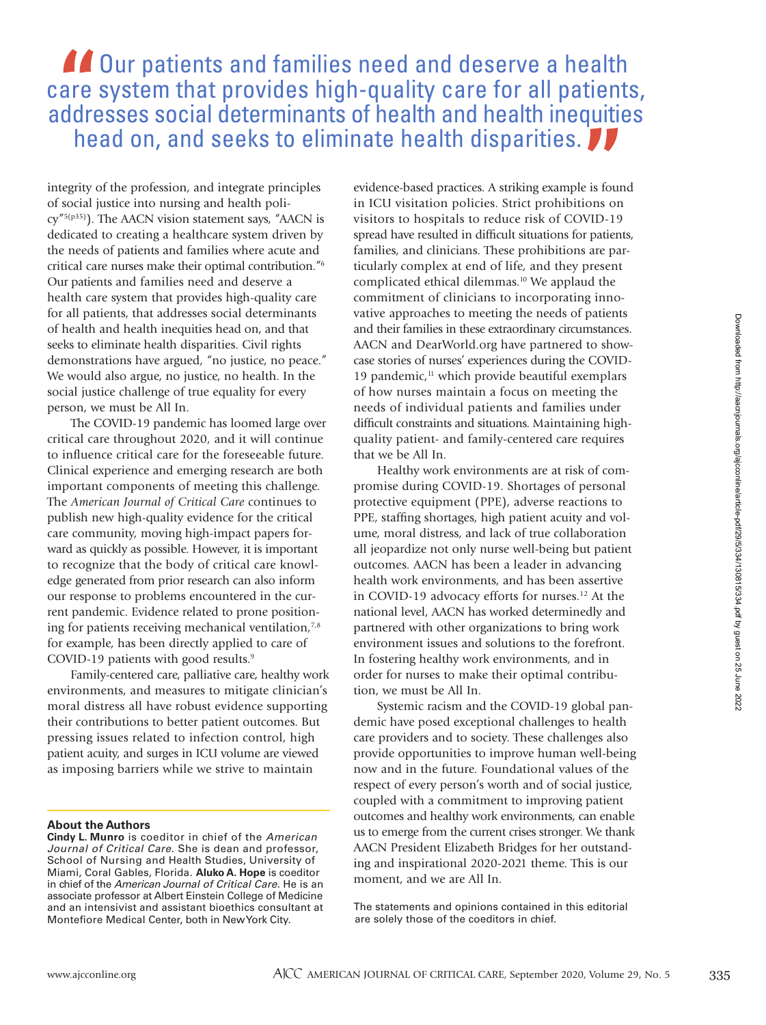## **AC** Our patients and families need and deserve a health care system that provides high-quality care for all patients, addresses social determinants of health and health inequities head on, and seeks to eliminate health disparities.

integrity of the profession, and integrate principles of social justice into nursing and health policy"5(p35)). The AACN vision statement says, "AACN is dedicated to creating a healthcare system driven by the needs of patients and families where acute and critical care nurses make their optimal contribution."6 Our patients and families need and deserve a health care system that provides high-quality care for all patients, that addresses social determinants of health and health inequities head on, and that seeks to eliminate health disparities. Civil rights demonstrations have argued, "no justice, no peace." We would also argue, no justice, no health. In the social justice challenge of true equality for every person, we must be All In.

The COVID-19 pandemic has loomed large over critical care throughout 2020, and it will continue to influence critical care for the foreseeable future. Clinical experience and emerging research are both important components of meeting this challenge. The *American Journal of Critical Care* continues to publish new high-quality evidence for the critical care community, moving high-impact papers forward as quickly as possible. However, it is important to recognize that the body of critical care knowledge generated from prior research can also inform our response to problems encountered in the current pandemic. Evidence related to prone positioning for patients receiving mechanical ventilation, $7,8$ for example, has been directly applied to care of COVID-19 patients with good results.<sup>9</sup>

Family-centered care, palliative care, healthy work environments, and measures to mitigate clinician's moral distress all have robust evidence supporting their contributions to better patient outcomes. But pressing issues related to infection control, high patient acuity, and surges in ICU volume are viewed as imposing barriers while we strive to maintain

### **About the Authors**

**Cindy L. Munro** is coeditor in chief of the American Journal of Critical Care. She is dean and professor, School of Nursing and Health Studies, University of Miami, Coral Gables, Florida. **Aluko A. Hope** is coeditor in chief of the American Journal of Critical Care. He is an associate professor at Albert Einstein College of Medicine and an intensivist and assistant bioethics consultant at Montefiore Medical Center, both in New York City.

evidence-based practices. A striking example is found in ICU visitation policies. Strict prohibitions on visitors to hospitals to reduce risk of COVID-19 spread have resulted in difficult situations for patients, families, and clinicians. These prohibitions are particularly complex at end of life, and they present complicated ethical dilemmas.<sup>10</sup> We applaud the commitment of clinicians to incorporating innovative approaches to meeting the needs of patients and their families in these extraordinary circumstances. AACN and DearWorld.org have partnered to showcase stories of nurses' experiences during the COVID-19 pandemic, $<sup>11</sup>$  which provide beautiful exemplars</sup> of how nurses maintain a focus on meeting the needs of individual patients and families under difficult constraints and situations. Maintaining highquality patient- and family-centered care requires that we be All In.

Healthy work environments are at risk of compromise during COVID-19. Shortages of personal protective equipment (PPE), adverse reactions to PPE, staffing shortages, high patient acuity and volume, moral distress, and lack of true collaboration all jeopardize not only nurse well-being but patient outcomes. AACN has been a leader in advancing health work environments, and has been assertive in COVID-19 advocacy efforts for nurses.<sup>12</sup> At the national level, AACN has worked determinedly and partnered with other organizations to bring work environment issues and solutions to the forefront. In fostering healthy work environments, and in order for nurses to make their optimal contribution, we must be All In.

Systemic racism and the COVID-19 global pandemic have posed exceptional challenges to health care providers and to society. These challenges also provide opportunities to improve human well-being now and in the future. Foundational values of the respect of every person's worth and of social justice, coupled with a commitment to improving patient outcomes and healthy work environments, can enable us to emerge from the current crises stronger. We thank AACN President Elizabeth Bridges for her outstanding and inspirational 2020-2021 theme. This is our moment, and we are All In.

The statements and opinions contained in this editorial are solely those of the coeditors in chief.